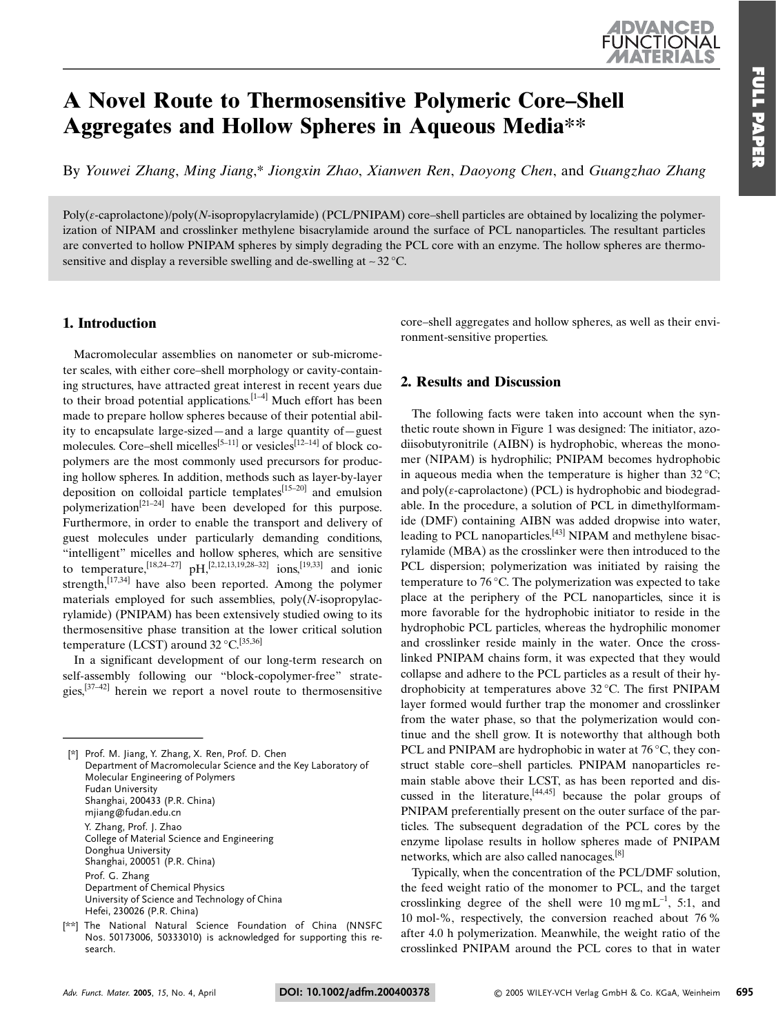# A Novel Route to Thermosensitive Polymeric Core-Shell **Aggregates and Hollow Spheres in Aqueous Media\*\***

By Youwei Zhang, Ming Jiang.\* Jiongxin Zhao, Xianwen Ren, Daovong Chen, and Guangzhao Zhang

Poly( $\epsilon$ -caprolactone)/poly(N-isopropylacrylamide) (PCL/PNIPAM) core-shell particles are obtained by localizing the polymerization of NIPAM and crosslinker methylene bisacrylamide around the surface of PCL nanoparticles. The resultant particles are converted to hollow PNIPAM spheres by simply degrading the PCL core with an enzyme. The hollow spheres are thermosensitive and display a reversible swelling and de-swelling at  $\sim$  32 °C.

## 1. Introduction

Macromolecular assemblies on nanometer or sub-micrometer scales, with either core-shell morphology or cavity-containing structures, have attracted great interest in recent years due to their broad potential applications.  $[1-4]$  Much effort has been made to prepare hollow spheres because of their potential ability to encapsulate large-sized—and a large quantity of—guest molecules. Core–shell micelles<sup>[5-11]</sup> or vesicles<sup>[12-14]</sup> of block copolymers are the most commonly used precursors for producing hollow spheres. In addition, methods such as layer-by-layer deposition on colloidal particle templates $[15-20]$  and emulsion polymerization<sup>[21-24]</sup> have been developed for this purpose. Furthermore, in order to enable the transport and delivery of guest molecules under particularly demanding conditions, "intelligent" micelles and hollow spheres, which are sensitive to temperature,  $^{[18,24-27]}$  pH,  $^{[2,12,13,19,28-32]}$  ions,  $^{[19,33]}$  and ionic strength,  $[17,34]$  have also been reported. Among the polymer materials employed for such assemblies,  $poly(N-$ isopropylacrylamide) (PNIPAM) has been extensively studied owing to its thermosensitive phase transition at the lower critical solution temperature (LCST) around  $32^{\circ}$ C.<sup>[35,36]</sup>

In a significant development of our long-term research on self-assembly following our "block-copolymer-free" strategies,  $[37-42]$  herein we report a novel route to thermosensitive

core-shell aggregates and hollow spheres, as well as their environment-sensitive properties.

### 2. Results and Discussion

The following facts were taken into account when the synthetic route shown in Figure 1 was designed: The initiator, azodiisobutyronitrile (AIBN) is hydrophobic, whereas the monomer (NIPAM) is hydrophilic; PNIPAM becomes hydrophobic in aqueous media when the temperature is higher than  $32^{\circ}$ C; and  $poly(\varepsilon$ -caprolactone) (PCL) is hydrophobic and biodegradable. In the procedure, a solution of PCL in dimethylformamide (DMF) containing AIBN was added dropwise into water, leading to PCL nanoparticles.<sup>[43]</sup> NIPAM and methylene bisacrylamide (MBA) as the crosslinker were then introduced to the PCL dispersion; polymerization was initiated by raising the temperature to 76 °C. The polymerization was expected to take place at the periphery of the PCL nanoparticles, since it is more favorable for the hydrophobic initiator to reside in the hydrophobic PCL particles, whereas the hydrophilic monomer and crosslinker reside mainly in the water. Once the crosslinked PNIPAM chains form, it was expected that they would collapse and adhere to the PCL particles as a result of their hydrophobicity at temperatures above 32 °C. The first PNIPAM layer formed would further trap the monomer and crosslinker from the water phase, so that the polymerization would continue and the shell grow. It is noteworthy that although both PCL and PNIPAM are hydrophobic in water at 76 °C, they construct stable core-shell particles. PNIPAM nanoparticles remain stable above their LCST, as has been reported and discussed in the literature.  $[44,45]$  because the polar groups of PNIPAM preferentially present on the outer surface of the particles. The subsequent degradation of the PCL cores by the enzyme lipolase results in hollow spheres made of PNIPAM networks, which are also called nanocages.<sup>[8]</sup>

Typically, when the concentration of the PCL/DMF solution, the feed weight ratio of the monomer to PCL, and the target crosslinking degree of the shell were 10 mg  $mL^{-1}$ , 5:1, and 10 mol-%, respectively, the conversion reached about 76% after 4.0 h polymerization. Meanwhile, the weight ratio of the crosslinked PNIPAM around the PCL cores to that in water

<sup>[\*]</sup> Prof. M. Jiang, Y. Zhang, X. Ren, Prof. D. Chen Department of Macromolecular Science and the Key Laboratory of Molecular Engineering of Polymers **Fudan University** Shanghai, 200433 (P.R. China) mjiang@fudan.edu.cn Y. Zhang, Prof. J. Zhao College of Material Science and Engineering Donghua University Shanghai, 200051 (P.R. China) Prof. G. Zhang Department of Chemical Physics University of Science and Technology of China Hefei, 230026 (P.R. China)

<sup>[\*\*]</sup> The National Natural Science Foundation of China (NNSFC Nos. 50173006, 50333010) is acknowledged for supporting this research.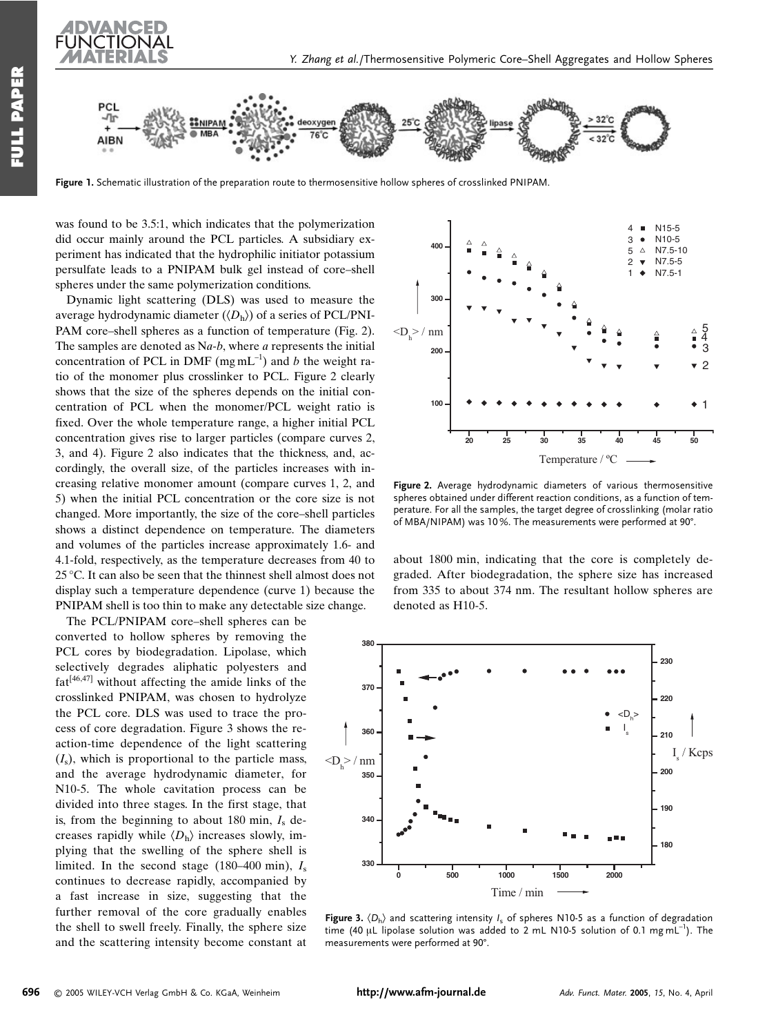



Figure 1. Schematic illustration of the preparation route to thermosensitive hollow spheres of crosslinked PNIPAM.

was found to be 3.5:1, which indicates that the polymerization did occur mainly around the PCL particles. A subsidiary experiment has indicated that the hydrophilic initiator potassium persulfate leads to a PNIPAM bulk gel instead of core-shell spheres under the same polymerization conditions.

Dynamic light scattering (DLS) was used to measure the average hydrodynamic diameter  $(\langle D_h \rangle)$  of a series of PCL/PNI-PAM core-shell spheres as a function of temperature (Fig. 2). The samples are denoted as  $Na-b$ , where  $a$  represents the initial concentration of PCL in DMF (mg mL<sup>-1</sup>) and b the weight ratio of the monomer plus crosslinker to PCL. Figure 2 clearly shows that the size of the spheres depends on the initial concentration of PCL when the monomer/PCL weight ratio is fixed. Over the whole temperature range, a higher initial PCL concentration gives rise to larger particles (compare curves 2, 3, and 4). Figure 2 also indicates that the thickness, and, accordingly, the overall size, of the particles increases with increasing relative monomer amount (compare curves 1, 2, and 5) when the initial PCL concentration or the core size is not changed. More importantly, the size of the core-shell particles shows a distinct dependence on temperature. The diameters and volumes of the particles increase approximately 1.6- and 4.1-fold, respectively, as the temperature decreases from 40 to  $25^{\circ}$ C. It can also be seen that the thinnest shell almost does not display such a temperature dependence (curve 1) because the PNIPAM shell is too thin to make any detectable size change.

The PCL/PNIPAM core-shell spheres can be converted to hollow spheres by removing the PCL cores by biodegradation. Lipolase, which selectively degrades aliphatic polyesters and  $fat^{[46,47]}$  without affecting the amide links of the crosslinked PNIPAM, was chosen to hydrolyze the PCL core. DLS was used to trace the process of core degradation. Figure 3 shows the reaction-time dependence of the light scattering  $(I<sub>s</sub>)$ , which is proportional to the particle mass. and the average hydrodynamic diameter, for N10-5. The whole cavitation process can be divided into three stages. In the first stage, that is, from the beginning to about 180 min,  $I_s$  decreases rapidly while  $\langle D_{\rm h} \rangle$  increases slowly, implying that the swelling of the sphere shell is limited. In the second stage (180–400 min),  $I_s$ continues to decrease rapidly, accompanied by a fast increase in size, suggesting that the further removal of the core gradually enables the shell to swell freely. Finally, the sphere size and the scattering intensity become constant at



Figure 2. Average hydrodynamic diameters of various thermosensitive spheres obtained under different reaction conditions, as a function of temperature. For all the samples, the target degree of crosslinking (molar ratio of MBA/NIPAM) was 10%. The measurements were performed at 90°.

about 1800 min, indicating that the core is completely degraded. After biodegradation, the sphere size has increased from 335 to about 374 nm. The resultant hollow spheres are denoted as H10-5.



Figure 3.  $\langle D_h \rangle$  and scattering intensity  $I_s$  of spheres N10-5 as a function of degradation time (40 µL lipolase solution was added to 2 mL N10-5 solution of 0.1 mg mL<sup>-1</sup>). The measurements were performed at 90°.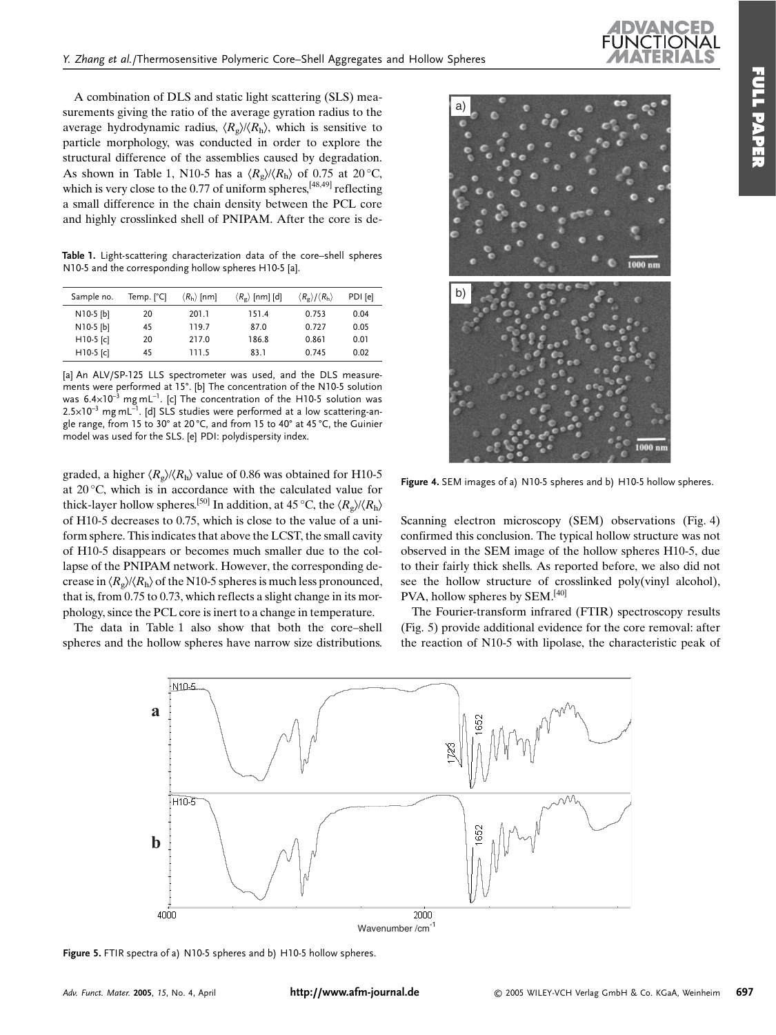A combination of DLS and static light scattering (SLS) measurements giving the ratio of the average gyration radius to the average hydrodynamic radius,  $\langle R_{\rm g} \rangle / \langle R_{\rm h} \rangle$ , which is sensitive to particle morphology, was conducted in order to explore the structural difference of the assemblies caused by degradation. As shown in Table 1, N10-5 has a  $\langle R_{\rm g} \rangle / \langle R_{\rm h} \rangle$  of 0.75 at 20 °C, which is very close to the 0.77 of uniform spheres,  $[48,49]$  reflecting a small difference in the chain density between the PCL core and highly crosslinked shell of PNIPAM. After the core is de-

Table 1. Light-scattering characterization data of the core-shell spheres N10-5 and the corresponding hollow spheres H10-5 [a].

| Sample no.  | Temp. $[^{\circ}C]$ | $\langle R_{\rm h} \rangle$ [nm] | $\langle R_{\rm g} \rangle$ [nm] [d] | $\langle R_{\rm g} \rangle / \langle R_{\rm h} \rangle$ | PDI [e] |
|-------------|---------------------|----------------------------------|--------------------------------------|---------------------------------------------------------|---------|
| $N10-5$ [b] | 20                  | 201.1                            | 151.4                                | 0.753                                                   | 0.04    |
| N10-5 [b]   | 45                  | 119.7                            | 87.0                                 | 0.727                                                   | 0.05    |
| $H10-5$ [c] | 20                  | 217.0                            | 186.8                                | 0.861                                                   | 0.01    |
| $H10-5$ [c] | 45                  | 111.5                            | 83.1                                 | 0.745                                                   | 0.02    |

[a] An ALV/SP-125 LLS spectrometer was used, and the DLS measurements were performed at 15°. [b] The concentration of the N10-5 solution was  $6.4 \times 10^{-3}$  mg mL<sup>-1</sup>. [c] The concentration of the H10-5 solution was  $2.5 \times 10^{-3}$  mg mL<sup>-1</sup>. [d] SLS studies were performed at a low scattering-angle range, from 15 to 30° at 20 °C, and from 15 to 40° at 45 °C, the Guinier model was used for the SLS. [e] PDI: polydispersity index.

graded, a higher  $\langle R_{\rm g} \rangle / \langle R_{\rm h} \rangle$  value of 0.86 was obtained for H10-5 at  $20^{\circ}$ C, which is in accordance with the calculated value for thick-layer hollow spheres.<sup>[50]</sup> In addition, at 45 °C, the  $\langle R_{\rm e} \rangle / \langle R_{\rm h} \rangle$ of H10-5 decreases to 0.75, which is close to the value of a uniform sphere. This indicates that above the LCST, the small cavity of H10-5 disappears or becomes much smaller due to the collapse of the PNIPAM network. However, the corresponding decrease in  $\langle R_{\rm g} \rangle / \langle R_{\rm h} \rangle$  of the N10-5 spheres is much less pronounced, that is, from  $0.75$  to  $0.73$ , which reflects a slight change in its morphology, since the PCL core is inert to a change in temperature.

The data in Table 1 also show that both the core-shell spheres and the hollow spheres have narrow size distributions.



Figure 4. SEM images of a) N10-5 spheres and b) H10-5 hollow spheres.

Scanning electron microscopy (SEM) observations (Fig. 4) confirmed this conclusion. The typical hollow structure was not observed in the SEM image of the hollow spheres H10-5, due to their fairly thick shells. As reported before, we also did not see the hollow structure of crosslinked poly(vinyl alcohol), PVA, hollow spheres by SEM.<sup>[40]</sup>

The Fourier-transform infrared (FTIR) spectroscopy results (Fig. 5) provide additional evidence for the core removal: after the reaction of N10-5 with lipolase, the characteristic peak of



Figure 5. FTIR spectra of a) N10-5 spheres and b) H10-5 hollow spheres.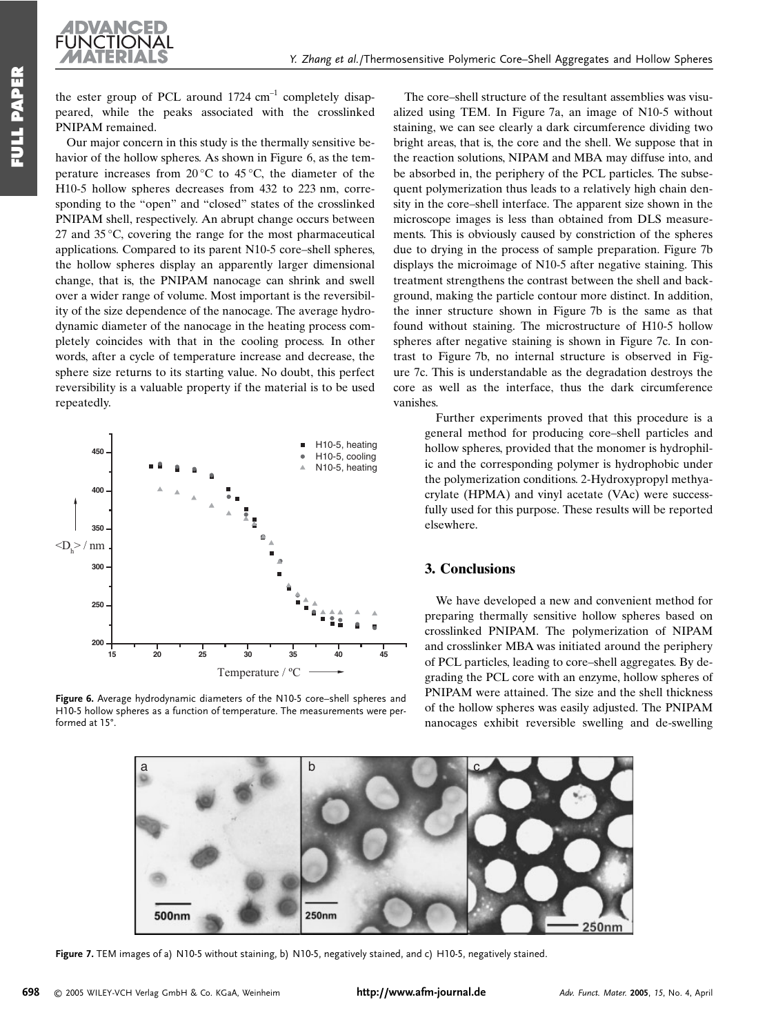Y. Zhang et al./Thermosensitive Polymeric Core-Shell Aggregates and Hollow Spheres

the ester group of PCL around  $1724 \text{ cm}^{-1}$  completely disappeared, while the peaks associated with the crosslinked PNIPAM remained.

UNCTIONAL

Our major concern in this study is the thermally sensitive behavior of the hollow spheres. As shown in Figure 6, as the temperature increases from  $20^{\circ}$ C to  $45^{\circ}$ C, the diameter of the H10-5 hollow spheres decreases from 432 to 223 nm, corresponding to the "open" and "closed" states of the crosslinked PNIPAM shell, respectively. An abrupt change occurs between 27 and 35 $\degree$ C, covering the range for the most pharmaceutical applications. Compared to its parent N10-5 core-shell spheres, the hollow spheres display an apparently larger dimensional change, that is, the PNIPAM nanocage can shrink and swell over a wider range of volume. Most important is the reversibility of the size dependence of the nanocage. The average hydrodynamic diameter of the nanocage in the heating process completely coincides with that in the cooling process. In other words, after a cycle of temperature increase and decrease, the sphere size returns to its starting value. No doubt, this perfect reversibility is a valuable property if the material is to be used repeatedly.



Figure 6. Average hydrodynamic diameters of the N10-5 core-shell spheres and H10-5 hollow spheres as a function of temperature. The measurements were performed at 15°.

The core–shell structure of the resultant assemblies was visualized using TEM. In Figure 7a, an image of N10-5 without staining, we can see clearly a dark circumference dividing two bright areas, that is, the core and the shell. We suppose that in the reaction solutions, NIPAM and MBA may diffuse into, and be absorbed in, the periphery of the PCL particles. The subsequent polymerization thus leads to a relatively high chain density in the core–shell interface. The apparent size shown in the microscope images is less than obtained from DLS measurements. This is obviously caused by constriction of the spheres due to drying in the process of sample preparation. Figure 7b displays the microimage of N10-5 after negative staining. This treatment strengthens the contrast between the shell and background, making the particle contour more distinct. In addition, the inner structure shown in Figure 7b is the same as that found without staining. The microstructure of H10-5 hollow spheres after negative staining is shown in Figure 7c. In contrast to Figure 7b, no internal structure is observed in Figure 7c. This is understandable as the degradation destroys the core as well as the interface, thus the dark circumference vanishes

Further experiments proved that this procedure is a general method for producing core-shell particles and hollow spheres, provided that the monomer is hydrophilic and the corresponding polymer is hydrophobic under the polymerization conditions. 2-Hydroxypropyl methyacrylate (HPMA) and vinyl acetate (VAc) were successfully used for this purpose. These results will be reported elsewhere.

#### 3. Conclusions

We have developed a new and convenient method for preparing thermally sensitive hollow spheres based on crosslinked PNIPAM. The polymerization of NIPAM and crosslinker MBA was initiated around the periphery of PCL particles, leading to core–shell aggregates. By degrading the PCL core with an enzyme, hollow spheres of PNIPAM were attained. The size and the shell thickness of the hollow spheres was easily adjusted. The PNIPAM nanocages exhibit reversible swelling and de-swelling



Figure 7. TEM images of a) N10-5 without staining, b) N10-5, negatively stained, and c) H10-5, negatively stained.